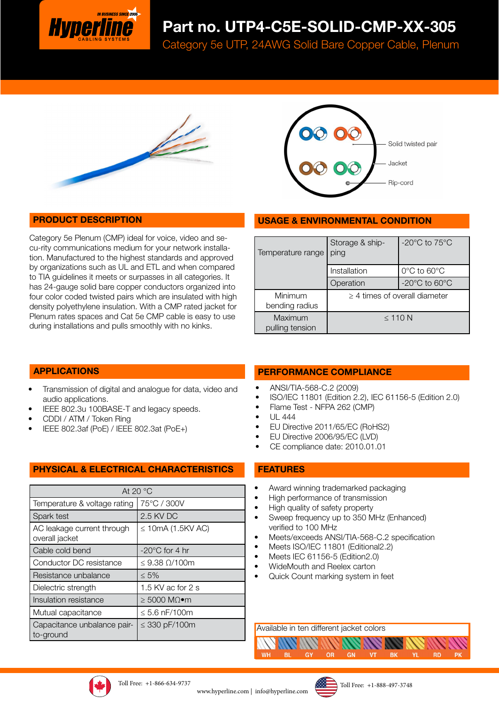

# Part no. UTP4-C5E-SOLID-CMP-XX-305

Category 5e UTP, 24AWG Solid Bare Copper Cable, Plenum





### PRODUCT DESCRIPTION

Category 5e Plenum (CMP) ideal for voice, video and secu-rity communications medium for your network installation. Manufactured to the highest standards and approved by organizations such as UL and ETL and when compared to TIA guidelines it meets or surpasses in all categories. It has 24-gauge solid bare copper conductors organized into four color coded twisted pairs which are insulated with high density polyethylene insulation. With a CMP rated jacket for Plenum rates spaces and Cat 5e CMP cable is easy to use during installations and pulls smoothly with no kinks.

#### USAGE & ENVIRONMENTAL CONDITION

| Temperature range          | Storage & ship-<br>ping            | -20 $^{\circ}$ C to 75 $^{\circ}$ C |  |
|----------------------------|------------------------------------|-------------------------------------|--|
|                            | Installation                       | 0°C to 60°C                         |  |
|                            | Operation                          | $-20^{\circ}$ C to 60 $^{\circ}$ C  |  |
| Minimum<br>bending radius  | $\geq$ 4 times of overall diameter |                                     |  |
| Maximum<br>pulling tension | $\leq$ 110 N                       |                                     |  |

#### APPLICATIONS

- Transmission of digital and analogue for data, video and audio applications.
- IEEE 802.3u 100BASE-T and legacy speeds.
- CDDI / ATM / Token Ring
- IEEE 802.3af (PoE) / IEEE 802.3at (PoE+)

#### PHYSICAL & ELECTRICAL CHARACTERISTICS

| At 20 $\degree$ C                            |                            |  |  |  |
|----------------------------------------------|----------------------------|--|--|--|
| Temperature & voltage rating                 | 75°C / 300V                |  |  |  |
| Spark test                                   | 2.5 KV DC                  |  |  |  |
| AC leakage current through<br>overall jacket | $\leq$ 10mA (1.5KV AC)     |  |  |  |
| Cable cold bend                              | $-20^{\circ}$ C for 4 hr   |  |  |  |
| Conductor DC resistance                      | $\leq$ 9.38 $\Omega$ /100m |  |  |  |
| Resistance unbalance                         | $\leq 5\%$                 |  |  |  |
| Dielectric strength                          | 1.5 KV ac for 2 s          |  |  |  |
| Insulation resistance                        | ≥ 5000 MΩ•m                |  |  |  |
| Mutual capacitance                           | $\leq 5.6$ nF/100m         |  |  |  |
| Capacitance unbalance pair-<br>to-ground     | $\leq$ 330 pF/100m         |  |  |  |

#### PERFORMANCE COMPLIANCE

- ANSI/TIA-568-C.2 (2009)
- ISO/IEC 11801 (Edition 2.2), IEC 61156-5 (Edition 2.0)
- Flame Test NFPA 262 (CMP)
- UL 444
- EU Directive 2011/65/EC (RoHS2)
- EU Directive 2006/95/EC (LVD)
- CE compliance date: 2010.01.01

#### FEATURES

- Award winning trademarked packaging
- High performance of transmission
- High quality of safety property
- Sweep frequency up to 350 MHz (Enhanced) verified to 100 MHz
- Meets/exceeds ANSI/TIA-568-C.2 specification

GN

- Meets ISO/IEC 11801 (Editional2.2)
- Meets IEC 61156-5 (Edition2.0)
- WideMouth and Reelex carton
- Quick Count marking system in feet

Available in ten different jacket colors

**GY** 

**WH** 

**BL** 





OR

**BK** 

**RD**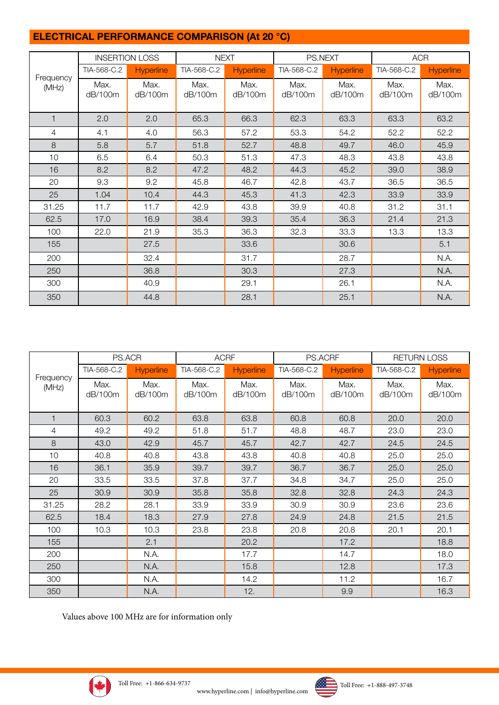# ELECTRICAL PERFORMANCE COMPARISON (At 20 °C)

|                    | <b>INSERTION LOSS</b> |                  | <b>NEXT</b>     |                  | PS.NEXT         |                  | <b>ACR</b>      |                  |
|--------------------|-----------------------|------------------|-----------------|------------------|-----------------|------------------|-----------------|------------------|
|                    | TIA-568-C.2           | <b>Hyperline</b> | TIA-568-C.2     | <b>Hyperline</b> | TIA-568-C.2     | <b>Hyperline</b> | TIA-568-C.2     | <b>Hyperline</b> |
| Frequency<br>(MHz) | Max.<br>dB/100m       | Max.<br>dB/100m  | Max.<br>dB/100m | Max.<br>dB/100m  | Max.<br>dB/100m | Max.<br>dB/100m  | Max.<br>dB/100m | Max.<br>dB/100m  |
| $\mathbf{1}$       | 2.0                   | 2.0              | 65.3            | 66.3             | 62.3            | 63.3             | 63.3            | 63.2             |
| 4                  | 4.1                   | 4.0              | 56.3            | 57.2             | 53.3            | 54.2             | 52.2            | 52.2             |
| 8                  | 5.8                   | 5.7              | 51.8            | 52.7             | 48.8            | 49.7             | 46.0            | 45.9             |
| 10                 | 6.5                   | 6.4              | 50.3            | 51.3             | 47.3            | 48.3             | 43.8            | 43.8             |
| 16                 | 8.2                   | 8.2              | 47.2            | 48.2             | 44.3            | 45.2             | 39.0            | 38.9             |
| 20                 | 9.3                   | 9.2              | 45.8            | 46.7             | 42.8            | 43.7             | 36.5            | 36.5             |
| 25                 | 1.04                  | 10.4             | 44.3            | 45.3             | 41.3            | 42.3             | 33.9            | 33.9             |
| 31.25              | 11.7                  | 11.7             | 42.9            | 43.8             | 39.9            | 40.8             | 31.2            | 31.1             |
| 62.5               | 17.0                  | 16.9             | 38.4            | 39.3             | 35.4            | 36.3             | 21.4            | 21.3             |
| 100                | 22.0                  | 21.9             | 35.3            | 36.3             | 32.3            | 33.3             | 13.3            | 13.3             |
| 155                |                       | 27.5             |                 | 33.6             |                 | 30.6             |                 | 5.1              |
| 200                |                       | 32.4             |                 | 31.7             |                 | 28.7             |                 | N.A.             |
| 250                |                       | 36.8             |                 | 30.3             |                 | 27.3             |                 | N.A.             |
| 300                |                       | 40.9             |                 | 29.1             |                 | 26.1             |                 | N.A.             |
| 350                |                       | 44.8             |                 | 28.1             |                 | 25.1             |                 | N.A.             |

|                    | PS.ACR          |                  | <b>ACRF</b>     |                  | PS.ACRF         |                  | <b>RETURN LOSS</b> |                  |
|--------------------|-----------------|------------------|-----------------|------------------|-----------------|------------------|--------------------|------------------|
|                    | TIA-568-C.2     | <b>Hyperline</b> | TIA-568-C.2     | <b>Hyperline</b> | TIA-568-C.2     | <b>Hyperline</b> | TIA-568-C.2        | <b>Hyperline</b> |
| Frequency<br>(MHz) | Max.<br>dB/100m | Max.<br>dB/100m  | Max.<br>dB/100m | Max.<br>dB/100m  | Max.<br>dB/100m | Max.<br>dB/100m  | Max.<br>dB/100m    | Max.<br>dB/100m  |
| 1                  | 60.3            | 60.2             | 63.8            | 63.8             | 60.8            | 60.8             | 20.0               | 20.0             |
| 4                  | 49.2            | 49.2             | 51.8            | 51.7             | 48.8            | 48.7             | 23.0               | 23.0             |
| 8                  | 43.0            | 42.9             | 45.7            | 45.7             | 42.7            | 42.7             | 24.5               | 24.5             |
| 10                 | 40.8            | 40.8             | 43.8            | 43.8             | 40.8            | 40.8             | 25.0               | 25.0             |
| 16                 | 36.1            | 35.9             | 39.7            | 39.7             | 36.7            | 36.7             | 25.0               | 25.0             |
| 20                 | 33.5            | 33.5             | 37.8            | 37.7             | 34.8            | 34.7             | 25.0               | 25.0             |
| 25                 | 30.9            | 30.9             | 35.8            | 35.8             | 32.8            | 32.8             | 24.3               | 24.3             |
| 31.25              | 28.2            | 28.1             | 33.9            | 33.9             | 30.9            | 30.9             | 23.6               | 23.6             |
| 62.5               | 18.4            | 18.3             | 27.9            | 27.8             | 24.9            | 24.8             | 21.5               | 21.5             |
| 100                | 10.3            | 10.3             | 23.8            | 23.8             | 20.8            | 20.8             | 20.1               | 20.1             |
| 155                |                 | 2.1              |                 | 20.2             |                 | 17.2             |                    | 18.8             |
| 200                |                 | N.A.             |                 | 17.7             |                 | 14.7             |                    | 18.0             |
| 250                |                 | N.A.             |                 | 15.8             |                 | 12.8             |                    | 17.3             |
| 300                |                 | N.A.             |                 | 14.2             |                 | 11.2             |                    | 16.7             |
| 350                |                 | N.A.             |                 | 12.              |                 | 9.9              |                    | 16.3             |

Values above 100 MHz are for information only